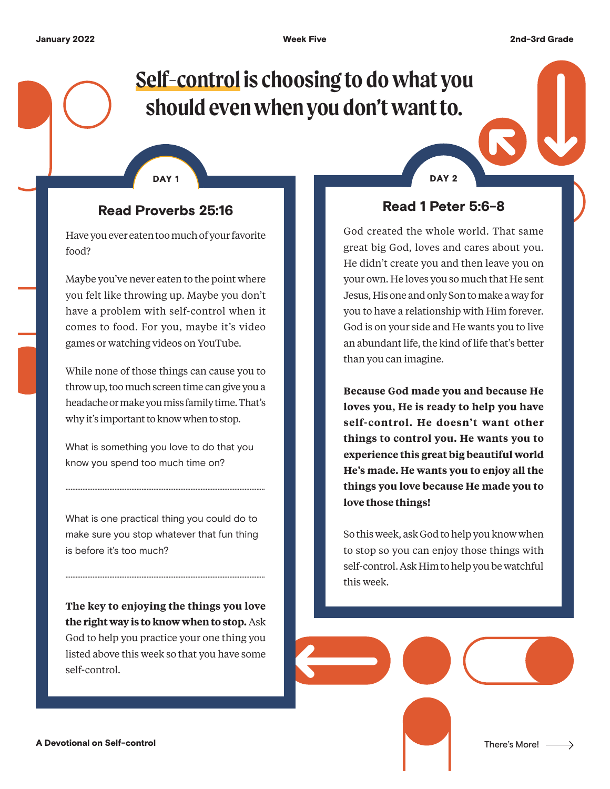# **Self-control is choosing to do what you should even when you don't want to.**

DAY 1 DAY 2

### Read Proverbs 25:16

Have you ever eaten too much of your favorite food?

Maybe you've never eaten to the point where you felt like throwing up. Maybe you don't have a problem with self-control when it comes to food. For you, maybe it's video games or watching videos on YouTube.

While none of those things can cause you to throw up, too much screen time can give you a headache or make you miss family time. That's why it's important to know when to stop.

What is something you love to do that you know you spend too much time on?

......................................................................................................................

What is one practical thing you could do to make sure you stop whatever that fun thing is before it's too much?

......................................................................................................................

**The key to enjoying the things you love the right way is to know when to stop.** Ask God to help you practice your one thing you listed above this week so that you have some self-control.

Read 1 Peter 5:6-8

God created the whole world. That same great big God, loves and cares about you. He didn't create you and then leave you on your own. He loves you so much that He sent Jesus, His one and only Son to make a way for you to have a relationship with Him forever. God is on your side and He wants you to live an abundant life, the kind of life that's better than you can imagine.

**Because God made you and because He loves you, He is ready to help you have self-control. He doesn't want other things to control you. He wants you to experience this great big beautiful world He's made. He wants you to enjoy all the things you love because He made you to love those things!**

So this week, ask God to help you know when to stop so you can enjoy those things with self-control. Ask Him to help you be watchful this week.